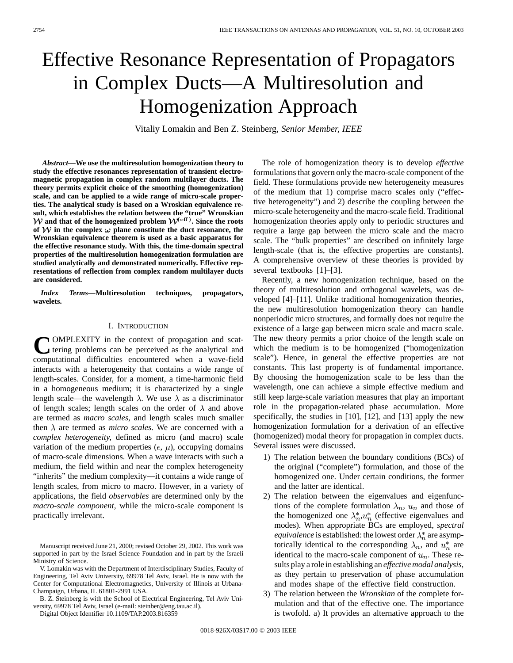# Effective Resonance Representation of Propagators in Complex Ducts—A Multiresolution and Homogenization Approach

Vitaliy Lomakin and Ben Z. Steinberg*, Senior Member, IEEE*

*Abstract—***We use the multiresolution homogenization theory to study the effective resonances representation of transient electromagnetic propagation in complex random multilayer ducts. The theory permits explicit choice of the smoothing (homogenization) scale, and can be applied to a wide range of micro-scale properties. The analytical study is based on a Wroskian equivalence result, which establishes the relation between the "true" Wronskian**  $\mathcal{W}$  and that of the homogenized problem  $\mathcal{W}^{\text{(eff)}}$ . Since the roots of  $W$  in the complex  $\omega$  plane constitute the duct resonance, the **Wronskian equivalence theorem is used as a basic apparatus for the effective resonance study. With this, the time-domain spectral properties of the multiresolution homogenization formulation are studied analytically and demonstrated numerically. Effective representations of reflection from complex random multilayer ducts are considered.**

*Index Terms—***Multiresolution techniques, propagators, wavelets.**

## I. INTRODUCTION

**C**OMPLEXITY in the context of propagation and scat-<br>tering problems can be perceived as the analytical and<br>computational difficulties appearanted when a wave field computational difficulties encountered when a wave-field interacts with a heterogeneity that contains a wide range of length-scales. Consider, for a moment, a time-harmonic field in a homogeneous medium; it is characterized by a single length scale—the wavelength  $\lambda$ . We use  $\lambda$  as a discriminator of length scales; length scales on the order of  $\lambda$  and above are termed as *macro scales,* and length scales much smaller then  $\lambda$  are termed as *micro scales*. We are concerned with a *complex heterogeneity,* defined as micro (and macro) scale variation of the medium properties ( $\epsilon$ ,  $\mu$ ), occupying domains of macro-scale dimensions. When a wave interacts with such a medium, the field within and near the complex heterogeneity "inherits" the medium complexity—it contains a wide range of length scales, from micro to macro. However, in a variety of applications, the field *observables* are determined only by the *macro-scale component,* while the micro-scale component is practically irrelevant.

B. Z. Steinberg is with the School of Electrical Engineering, Tel Aviv University, 69978 Tel Aviv, Israel (e-mail: steinber@eng.tau.ac.il).

Digital Object Identifier 10.1109/TAP.2003.816359

The role of homogenization theory is to develop *effective* formulations that govern only the macro-scale component of the field. These formulations provide new heterogeneity measures of the medium that 1) comprise macro scales only ("effective heterogeneity") and 2) describe the coupling between the micro-scale heterogeneity and the macro-scale field. Traditional homogenization theories apply only to periodic structures and require a large gap between the micro scale and the macro scale. The "bulk properties" are described on infinitely large length-scale (that is, the effective properties are constants). A comprehensive overview of these theories is provided by several textbooks [1]–[3].

Recently, a new homogenization technique, based on the theory of multiresolution and orthogonal wavelets, was developed [4]–[11]. Unlike traditional homogenization theories, the new multiresolution homogenization theory can handle nonperiodic micro structures, and formally does not require the existence of a large gap between micro scale and macro scale. The new theory permits a prior choice of the length scale on which the medium is to be homogenized ("homogenization scale"). Hence, in general the effective properties are not constants. This last property is of fundamental importance. By choosing the homogenization scale to be less than the wavelength, one can achieve a simple effective medium and still keep large-scale variation measures that play an important role in the propagation-related phase accumulation. More specifically, the studies in [10], [12], and [13] apply the new homogenization formulation for a derivation of an effective (homogenized) modal theory for propagation in complex ducts. Several issues were discussed.

- 1) The relation between the boundary conditions (BCs) of the original ("complete") formulation, and those of the homogenized one. Under certain conditions, the former and the latter are identical.
- 2) The relation between the eigenvalues and eigenfunctions of the complete formulation  $\lambda_n$ ,  $u_n$  and those of the homogenized one  $\lambda_n^* u_n^*$  (effective eigenvalues and modes). When appropriate BCs are employed, *spectral equivalence* is established: the lowest order  $\lambda_n^*$  are asymptotically identical to the corresponding  $\lambda_n$ , and  $u_n^*$  are identical to the macro-scale component of  $u_n$ . These results play a role in establishing an *effective modal analysis,* as they pertain to preservation of phase accumulation and modes shape of the effective field construction.
- 3) The relation between the *Wronskian* of the complete formulation and that of the effective one. The importance is twofold. a) It provides an alternative approach to the

Manuscript received June 21, 2000; revised October 29, 2002. This work was supported in part by the Israel Science Foundation and in part by the Israeli Ministry of Science.

V. Lomakin was with the Department of Interdisciplinary Studies, Faculty of Engineering, Tel Aviv University, 69978 Tel Aviv, Israel. He is now with the Center for Computational Electromagnetics, University of Illinois at Urbana-Champaign, Urbana, IL 61801-2991 USA.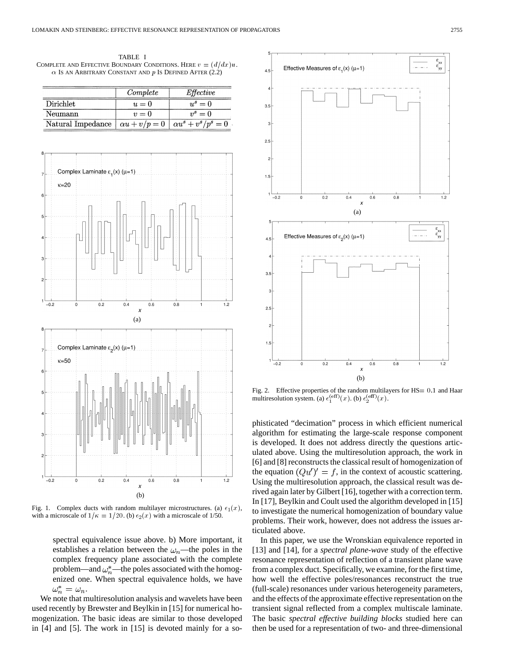TABLE I COMPLETE AND EFFECTIVE BOUNDARY CONDITIONS. HERE  $v = (d/dx)u$ .  $\alpha$  Is an Arbitrary Constant and p Is Defined After (2.2)

|                   | Complete             | Effective                  |
|-------------------|----------------------|----------------------------|
| Dirichlet         | $u=0$                | $u^s=0$                    |
| Neumann           | $v=0$                | $v^s=0$                    |
| Natural Impedance | $\alpha u + v/p = 0$ | $\alpha u^s + v^s/p^s = 0$ |



Fig. 1. Complex ducts with random multilayer microstructures. (a)  $\epsilon_1(x)$ , with a microscale of  $1/\kappa = 1/20$ . (b)  $\epsilon_2(x)$  with a microscale of 1/50.

spectral equivalence issue above. b) More important, it establishes a relation between the  $\omega_n$ —the poles in the complex frequency plane associated with the complete problem—and  $\omega_n^*$ —the poles associated with the homogenized one. When spectral equivalence holds, we have  $\omega_n^* = \omega_n.$ 

We note that multiresolution analysis and wavelets have been used recently by Brewster and Beylkin in [15] for numerical homogenization. The basic ideas are similar to those developed in [4] and [5]. The work in [15] is devoted mainly for a so-



Fig. 2. Effective properties of the random multilayers for HS= 0.1 and Haar multiresolution system. (a)  $\epsilon_1^{(eff)}(x)$ . (b)  $\epsilon_2^{(eff)}(x)$ .

phisticated "decimation" process in which efficient numerical algorithm for estimating the large-scale response component is developed. It does not address directly the questions articulated above. Using the multiresolution approach, the work in [6] and [8] reconstructs the classical result of homogenization of the equation  $(Qu')' = f$ , in the context of acoustic scattering. Using the multiresolution approach, the classical result was derived again later by Gilbert [16], together with a correction term. In [17], Beylkin and Coult used the algorithm developed in [15] to investigate the numerical homogenization of boundary value problems. Their work, however, does not address the issues articulated above.

In this paper, we use the Wronskian equivalence reported in [13] and [14], for a *spectral plane-wave* study of the effective resonance representation of reflection of a transient plane wave from a complex duct. Specifically, we examine, for the first time, how well the effective poles/resonances reconstruct the true (full-scale) resonances under various heterogeneity parameters, and the effects of the approximate effective representation on the transient signal reflected from a complex multiscale laminate. The basic *spectral effective building blocks* studied here can then be used for a representation of two- and three-dimensional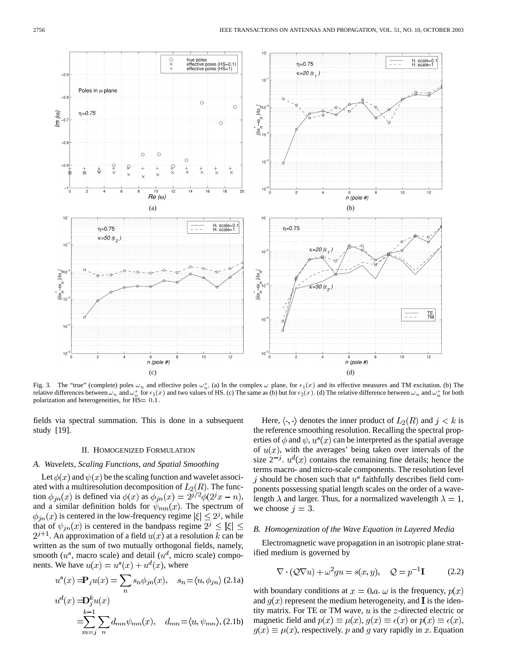

Fig. 3. The "true" (complete) poles  $\omega_n$  and effective poles  $\omega_n^*$ . (a) In the complex  $\omega$  plane, for  $\epsilon_1(x)$  and its effective measures and TM excitation. (b) The relative differences between  $\omega_n$  and  $\omega_n^*$  for  $\epsilon_1(x)$  and two values of HS. (c) The same as (b) but for  $\epsilon_2(x)$ . (d) The relative difference between  $\omega_n$  and  $\omega_n^*$  for both polarization and heterogeneities, for  $\text{HS} = 0.1$ .

fields via spectral summation. This is done in a subsequent study [19].

## II. HOMOGENIZED FORMULATION

## *A. Wavelets, Scaling Functions, and Spatial Smoothing*

Let  $\phi(x)$  and  $\psi(x)$  be the scaling function and wavelet associated with a multiresolution decomposition of  $L_2(R)$ . The function  $\phi_{jn}(x)$  is defined via  $\phi(x)$  as  $\phi_{jn}(x) = 2^{j/2}\phi(2^{j}x - n)$ , and a similar definition holds for  $\psi_{mn}(x)$ . The spectrum of  $\phi_{in}(x)$  is centered in the low-frequency regime  $|\xi| \leq 2^j$ , while that of  $\psi_{in}(x)$  is centered in the bandpass regime  $2^j \leq |\xi| \leq$  $2^{j+1}$ . An approximation of a field  $u(x)$  at a resolution k can be written as the sum of two mutually orthogonal fields, namely, smooth  $(u^s$ , macro scale) and detail  $(u^d)$ , micro scale) components. We have  $u(x) = u^{s}(x) + u^{d}(x)$ , where

$$
u^{s}(x) = \mathbf{P}_{j}u(x) = \sum_{n} s_{n} \phi_{jn}(x), \quad s_{n} = \langle u, \phi_{jn} \rangle
$$
 (2.1a)  

$$
u^{d}(x) = \mathbf{D}_{j}^{k}u(x)
$$

$$
= \sum_{m=1}^{k-1} \sum_{n} d_{mn} \psi_{mn}(x), \quad d_{mn} = \langle u, \psi_{mn} \rangle
$$
 (2.1b)

Here,  $\langle \cdot, \cdot \rangle$  denotes the inner product of  $L_2(R)$  and  $j < k$  is the reference smoothing resolution. Recalling the spectral properties of  $\phi$  and  $\psi$ ,  $u^s(x)$  can be interpreted as the spatial average of  $u(x)$ , with the averages' being taken over intervals of the size  $2^{-j}$ .  $u^d(x)$  contains the remaining fine details; hence the terms macro- and micro-scale components. The resolution level j should be chosen such that  $u^s$  faithfully describes field components possessing spatial length scales on the order of a wavelength  $\lambda$  and larger. Thus, for a normalized wavelength  $\lambda = 1$ , we choose  $j = 3$ .

#### *B. Homogenization of the Wave Equation in Layered Media*

Electromagnetic wave propagation in an isotropic plane stratified medium is governed by

$$
\nabla \cdot (\mathcal{Q}\nabla u) + \omega^2 gu = s(x, y), \quad \mathcal{Q} = p^{-1}\mathbf{I} \tag{2.2}
$$

with boundary conditions at  $x = 0, a, \omega$  is the frequency,  $p(x)$ and  $q(x)$  represent the medium heterogeneity, and **I** is the identity matrix. For TE or TM wave,  $u$  is the  $z$ -directed electric or magnetic field and  $p(x) \equiv \mu(x)$ ,  $q(x) \equiv \epsilon(x)$  or  $p(x) \equiv \epsilon(x)$ ,  $g(x) \equiv \mu(x)$ , respectively. p and g vary rapidly in x. Equation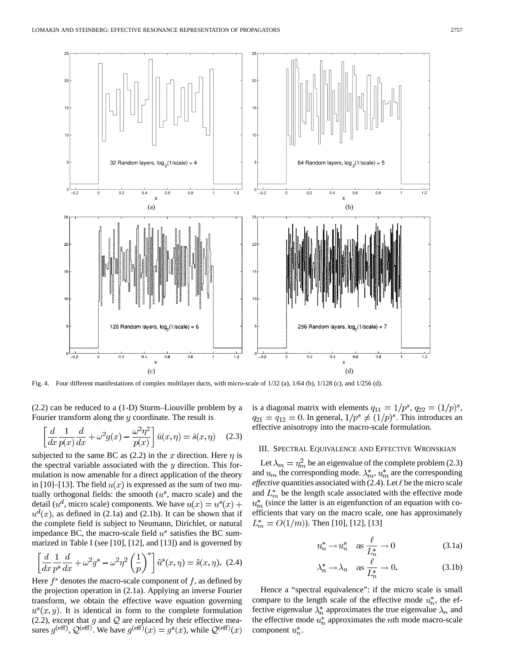

Fig. 4. Four different manifestations of complex multilayer ducts, with micro-scale of 1/32 (a), 1/64 (b), 1/128 (c), and 1/256 (d).

(2.2) can be reduced to a (1-D) Sturm–Liouville problem by a Fourier transform along the  $y$  coordinate. The result is

$$
\left[\frac{d}{dx}\frac{1}{p(x)}\frac{d}{dx} + \omega^2 g(x) - \frac{\omega^2 \eta^2}{p(x)}\right] \tilde{u}(x,\eta) = \tilde{s}(x,\eta) \quad (2.3)
$$

subjected to the same BC as (2.2) in the x direction. Here  $\eta$  is the spectral variable associated with the  $y$  direction. This formulation is now amenable for a direct application of the theory in [10]–[13]. The field  $u(x)$  is expressed as the sum of two mutually orthogonal fields: the smooth  $(u^s)$ , macro scale) and the detail ( $u^d$ , micro scale) components. We have  $u(x) = u^s(x) +$  $u^{d}(x)$ , as defined in (2.1a) and (2.1b). It can be shown that if the complete field is subject to Neumann, Dirichlet, or natural impedance BC, the macro-scale field  $u^s$  satisfies the BC summarized in Table I (see [10], [12], and [13]) and is governed by

$$
\left[\frac{d}{dx}\frac{1}{p^s}\frac{d}{dx} + \omega^2 g^s - \omega^2 \eta^2 \left(\frac{1}{p}\right)^s\right] \tilde{u}^s(x,\eta) = \tilde{s}(x,\eta). \tag{2.4}
$$

Here  $f^s$  denotes the macro-scale component of  $f$ , as defined by the projection operation in (2.1a). Applying an inverse Fourier transform, we obtain the effective wave equation governing  $u^s(x, y)$ . It is identical in form to the complete formulation (2.2), except that  $g$  and  $Q$  are replaced by their effective measures  $g^{(eff)}$ ,  $Q^{(eff)}$ . We have  $g^{(eff)}(x) = g^{s}(x)$ , while  $Q^{(eff)}(x)$  is a diagonal matrix with elements  $q_{11} = 1/p^s$ ,  $q_{22} = (1/p)^s$ ,  $q_{21} = q_{12} = 0$ . In general,  $1/p^s \neq (1/p)^s$ . This introduces an effective anisotropy into the macro-scale formulation.

## III. SPECTRAL EQUIVALENCE AND EFFECTIVE WRONSKIAN

Let  $\lambda_m = \eta_m^2$  be an eigenvalue of the complete problem (2.3) and  $u_m$  the corresponding mode.  $\lambda_m^*$ ,  $u_m^*$  are the corresponding *effective* quantities associated with  $(2.4)$ . Let  $\ell$  be the micro scale and  $L_m^*$  be the length scale associated with the effective mode  $u_m^*$  (since the latter is an eigenfunction of an equation with coefficients that vary on the macro scale, one has approximately  $L_m^* = O(1/m)$ ). Then [10], [12], [13]

$$
u_n^* \to u_n^s \quad \text{as } \frac{\ell}{L_n^*} \to 0 \tag{3.1a}
$$

$$
\lambda_n^* \to \lambda_n \quad \text{as } \frac{\ell}{L_n^*} \to 0. \tag{3.1b}
$$

Hence a "spectral equivalence": if the micro scale is small compare to the length scale of the effective mode  $u_n^*$ , the effective eigenvalue  $\lambda_n^*$  approximates the true eigenvalue  $\lambda_n$  and the effective mode  $u_n^*$  approximates the *n*th mode macro-scale component  $u_n^s$ .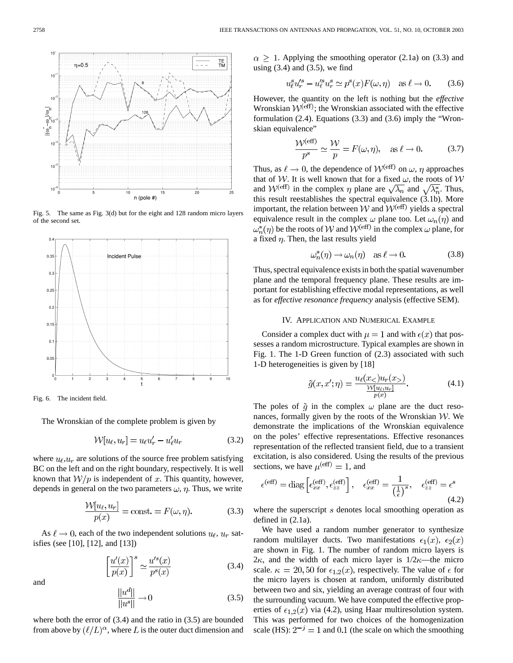

Fig. 5. The same as Fig. 3(d) but for the eight and 128 random micro layers of the second set.



Fig. 6. The incident field.

The Wronskian of the complete problem is given by

$$
\mathcal{W}[u_{\ell}, u_r] = u_{\ell}u'_r - u'_{\ell}u_r \tag{3.2}
$$

where  $u_{\ell}, u_r$  are solutions of the source free problem satisfying BC on the left and on the right boundary, respectively. It is well known that  $\mathcal{W}/p$  is independent of x. This quantity, however, depends in general on the two parameters  $\omega$ ,  $\eta$ . Thus, we write

$$
\frac{\mathcal{W}[u_{\ell}, u_r]}{p(x)} = \text{const.} = F(\omega, \eta). \tag{3.3}
$$

As  $\ell \to 0$ , each of the two independent solutions  $u_{\ell}$ ,  $u_r$  satisfies (see [10], [12], and [13])

$$
\left[\frac{u'(x)}{p(x)}\right]^s \simeq \frac{u'^s(x)}{p^s(x)}
$$
(3.4)

and

$$
\frac{\|u^d\|}{\|u^s\|} \to 0 \tag{3.5}
$$

where both the error of (3.4) and the ratio in (3.5) are bounded from above by  $(\ell/L)^\alpha$ , where L is the outer duct dimension and  $\alpha \geq 1$ . Applying the smoothing operator (2.1a) on (3.3) and using  $(3.4)$  and  $(3.5)$ , we find

$$
u_{\ell}^{s}u_{r}^{\prime s} - u_{\ell}^{\prime s}u_{r}^{s} \simeq p^{s}(x)F(\omega, \eta) \quad \text{as } \ell \to 0. \tag{3.6}
$$

However, the quantity on the left is nothing but the *effective* Wronskian  $W^{(eff)}$ ; the Wronskian associated with the effective formulation (2.4). Equations (3.3) and (3.6) imply the "Wronskian equivalence"

$$
\frac{\mathcal{W}^{(\text{eff})}}{p^s} \simeq \frac{\mathcal{W}}{p} = F(\omega, \eta), \quad \text{as } \ell \to 0. \tag{3.7}
$$

Thus, as  $\ell \to 0$ , the dependence of  $W^{(eff)}$  on  $\omega$ ,  $\eta$  approaches that of W. It is well known that for a fixed  $\omega$ , the roots of W and  $W^{(eff)}$  in the complex  $\eta$  plane are  $\sqrt{\lambda_n}$  and  $\sqrt{\lambda_n^*}$ . Thus, this result reestablishes the spectral equivalence (3.1b). More important, the relation between  $W$  and  $W^{(eff)}$  yields a spectral equivalence result in the complex  $\omega$  plane too. Let  $\omega_n(\eta)$  and  $\omega_n^*(\eta)$  be the roots of W and  $\mathcal{W}^{(eff)}$  in the complex  $\omega$  plane, for a fixed  $\eta$ . Then, the last results yield

$$
\omega_n^*(\eta) \to \omega_n(\eta) \quad \text{as } \ell \to 0. \tag{3.8}
$$

Thus, spectral equivalence exists in both the spatial wavenumber plane and the temporal frequency plane. These results are important for establishing effective modal representations, as well as for *effective resonance frequency* analysis (effective SEM).

#### IV. APPLICATION AND NUMERICAL EXAMPLE

Consider a complex duct with  $\mu = 1$  and with  $\epsilon(x)$  that possesses a random microstructure. Typical examples are shown in Fig. 1. The 1-D Green function of (2.3) associated with such 1-D heterogeneities is given by [18]

$$
\tilde{g}(x, x'; \eta) = \frac{u_{\ell}(x_{<};)u_{r}(x_{>})}{\frac{\mathcal{W}[u_{\ell}, u_{r}]}{p(x)}}.
$$
\n(4.1)

The poles of  $\tilde{q}$  in the complex  $\omega$  plane are the duct resonances, formally given by the roots of the Wronskian  $W$ . We demonstrate the implications of the Wronskian equivalence on the poles' effective representations. Effective resonances representation of the reflected transient field, due to a transient excitation, is also considered. Using the results of the previous sections, we have  $\mu^{\text{(eff)}} = 1$ , and

$$
\epsilon^{\text{(eff)}} = \text{diag}\left[\epsilon_{xx}^{\text{(eff)}}, \epsilon_{zz}^{\text{(eff)}}\right], \quad \epsilon_{xx}^{\text{(eff)}} = \frac{1}{\left(\frac{1}{\epsilon}\right)^s}, \quad \epsilon_{zz}^{\text{(eff)}} = \epsilon^s \tag{4.2}
$$

where the superscript  $s$  denotes local smoothing operation as defined in (2.1a).

We have used a random number generator to synthesize random multilayer ducts. Two manifestations  $\epsilon_1(x)$ ,  $\epsilon_2(x)$ are shown in Fig. 1. The number of random micro layers is  $2\kappa$ , and the width of each micro layer is  $1/2\kappa$ —the micro scale.  $\kappa = 20, 50$  for  $\epsilon_{1,2}(x)$ , respectively. The value of  $\epsilon$  for the micro layers is chosen at random, uniformly distributed between two and six, yielding an average contrast of four with the surrounding vacuum. We have computed the effective properties of  $\epsilon_{1,2}(x)$  via (4.2), using Haar multiresolution system. This was performed for two choices of the homogenization scale (HS):  $2^{-j} = 1$  and 0.1 (the scale on which the smoothing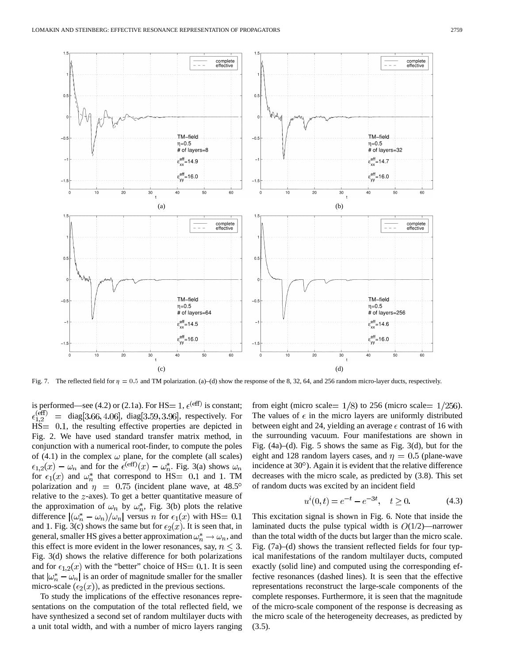

Fig. 7. The reflected field for  $\eta = 0.5$  and TM polarization. (a)–(d) show the response of the 8, 32, 64, and 256 random micro-layer ducts, respectively.

is performed—see (4.2) or (2.1a). For HS = 1,  $\epsilon^{\text{(eff)}}$  is constant;<br> $\epsilon^{\text{(eff)}}_{1,2}$  = diag[3.66, 4.06], diag[3.59, 3.96], respectively. For  $=$  diag [3.66, 4.06], diag [3.59, 3.96], respectively. For  $HS = 0.1$ , the resulting effective properties are depicted in Fig. 2. We have used standard transfer matrix method, in conjunction with a numerical root-finder, to compute the poles of (4.1) in the complex  $\omega$  plane, for the complete (all scales)  $\epsilon_{1,2}(x) - \omega_n$  and for the  $\epsilon^{(\text{eff})}(x) - \omega_n^*$ . Fig. 3(a) shows  $\omega_n$ for  $\epsilon_1(x)$  and  $\omega_n^*$  that correspond to HS = 0.1 and 1. TM polarization and  $\eta = 0.75$  (incident plane wave, at 48.5° relative to the  $z$ -axes). To get a better quantitative measure of the approximation of  $\omega_n$  by  $\omega_n^*$ , Fig. 3(b) plots the relative difference  $|(\omega_n^* - \omega_n)/\omega_n|$  versus *n* for  $\epsilon_1(x)$  with HS= 0.1 and 1. Fig. 3(c) shows the same but for  $\epsilon_2(x)$ . It is seen that, in general, smaller HS gives a better approximation  $\omega_n^* \to \omega_n$ , and this effect is more evident in the lower resonances, say,  $n \leq 3$ . Fig. 3(d) shows the relative difference for both polarizations and for  $\epsilon_{1,2}(x)$  with the "better" choice of HS = 0.1. It is seen that  $|\omega_n^* - \omega_n|$  is an order of magnitude smaller for the smaller micro-scale  $(\epsilon_2(x))$ , as predicted in the previous sections.

To study the implications of the effective resonances representations on the computation of the total reflected field, we have synthesized a second set of random multilayer ducts with a unit total width, and with a number of micro layers ranging from eight (micro scale =  $1/8$ ) to 256 (micro scale =  $1/256$ ). The values of  $\epsilon$  in the micro layers are uniformly distributed between eight and 24, yielding an average  $\epsilon$  contrast of 16 with the surrounding vacuum. Four manifestations are shown in Fig. (4a)–(d). Fig. 5 shows the same as Fig. 3(d), but for the eight and 128 random layers cases, and  $\eta = 0.5$  (plane-wave incidence at  $30^{\circ}$ ). Again it is evident that the relative difference decreases with the micro scale, as predicted by (3.8). This set of random ducts was excited by an incident field

$$
u^{i}(0,t) = e^{-t} - e^{-3t}, \quad t \ge 0.
$$
 (4.3)

This excitation signal is shown in Fig. 6. Note that inside the laminated ducts the pulse typical width is  $O(1/2)$ —narrower than the total width of the ducts but larger than the micro scale. Fig. (7a)–(d) shows the transient reflected fields for four typical manifestations of the random multilayer ducts, computed exactly (solid line) and computed using the corresponding effective resonances (dashed lines). It is seen that the effective representations reconstruct the large-scale components of the complete responses. Furthermore, it is seen that the magnitude of the micro-scale component of the response is decreasing as the micro scale of the heterogeneity decreases, as predicted by  $(3.5)$ .